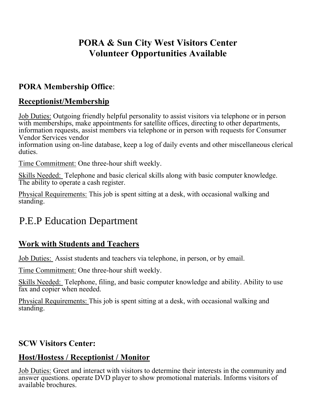## **PORA & Sun City West Visitors Center Volunteer Opportunities Available**

#### **PORA Membership Office**:

#### **Receptionist/Membership**

Job Duties: Outgoing friendly helpful personality to assist visitors via telephone or in person with memberships, make appointments for satellite offices, directing to other departments, information requests, assist members via telephone or in person with requests for Consumer Vendor Services vendor

information using on-line database, keep a log of daily events and other miscellaneous clerical duties.

Time Commitment: One three-hour shift weekly.

Skills Needed: Telephone and basic clerical skills along with basic computer knowledge. The ability to operate a cash register.

Physical Requirements: This job is spent sitting at a desk, with occasional walking and standing.

# P.E.P Education Department

### **Work with Students and Teachers**

Job Duties: Assist students and teachers via telephone, in person, or by email.

Time Commitment: One three-hour shift weekly.

Skills Needed: Telephone, filing, and basic computer knowledge and ability. Ability to use fax and copier when needed.

Physical Requirements: This job is spent sitting at a desk, with occasional walking and standing.

#### **SCW Visitors Center:**

#### **Host/Hostess / Receptionist / Monitor**

Job Duties: Greet and interact with visitors to determine their interests in the community and answer questions. operate DVD player to show promotional materials. Informs visitors of available brochures.